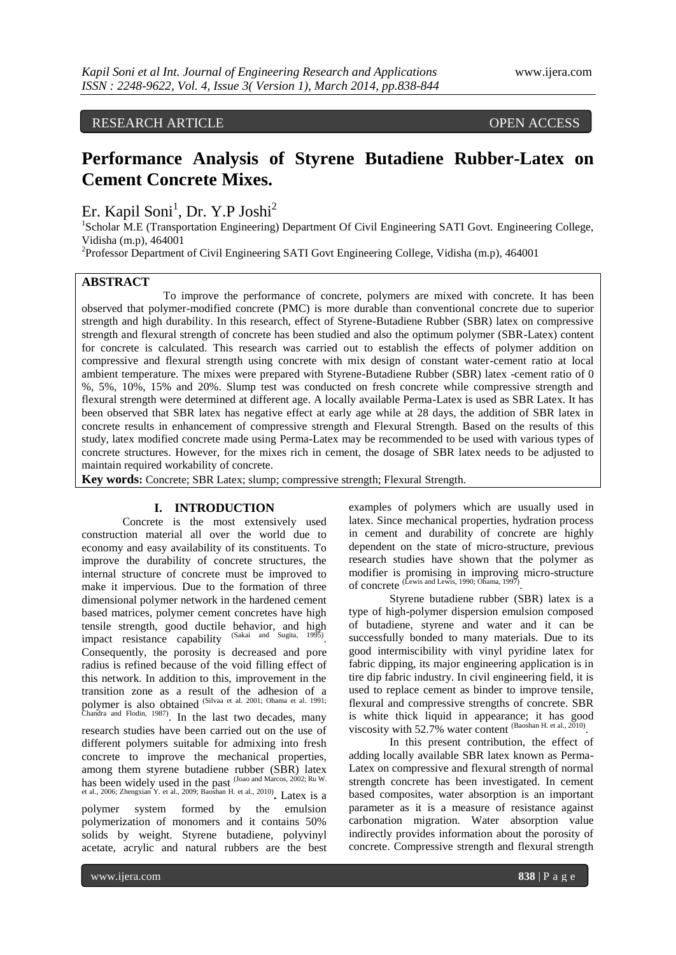RESEARCH ARTICLE OPEN ACCESS

# **Performance Analysis of Styrene Butadiene Rubber-Latex on Cement Concrete Mixes.**

Er. Kapil Soni<sup>1</sup>, Dr. Y.P Joshi<sup>2</sup>

<sup>1</sup>Scholar M.E (Transportation Engineering) Department Of Civil Engineering SATI Govt. Engineering College, Vidisha (m.p), 464001

<sup>2</sup>Professor Department of Civil Engineering SATI Govt Engineering College, Vidisha (m.p), 464001

## **ABSTRACT**

To improve the performance of concrete, polymers are mixed with concrete. It has been observed that polymer-modified concrete (PMC) is more durable than conventional concrete due to superior strength and high durability. In this research, effect of Styrene-Butadiene Rubber (SBR) latex on compressive strength and flexural strength of concrete has been studied and also the optimum polymer (SBR-Latex) content for concrete is calculated. This research was carried out to establish the effects of polymer addition on compressive and flexural strength using concrete with mix design of constant water-cement ratio at local ambient temperature. The mixes were prepared with Styrene-Butadiene Rubber (SBR) latex -cement ratio of 0 %, 5%, 10%, 15% and 20%. Slump test was conducted on fresh concrete while compressive strength and flexural strength were determined at different age. A locally available Perma-Latex is used as SBR Latex. It has been observed that SBR latex has negative effect at early age while at 28 days, the addition of SBR latex in concrete results in enhancement of compressive strength and Flexural Strength. Based on the results of this study, latex modified concrete made using Perma-Latex may be recommended to be used with various types of concrete structures. However, for the mixes rich in cement, the dosage of SBR latex needs to be adjusted to maintain required workability of concrete.

**Key words:** Concrete; SBR Latex; slump; compressive strength; Flexural Strength.

#### **I. INTRODUCTION**

Concrete is the most extensively used construction material all over the world due to economy and easy availability of its constituents. To improve the durability of concrete structures, the internal structure of concrete must be improved to make it impervious. Due to the formation of three dimensional polymer network in the hardened cement based matrices, polymer cement concretes have high tensile strength, good ductile behavior, and high impact resistance canability (Sakai and Sugita, 1995) impact resistance capability . Consequently, the porosity is decreased and pore radius is refined because of the void filling effect of this network. In addition to this, improvement in the transition zone as a result of the adhesion of a polymer is also obtained (Silvaa et al. 2001; Ohama et al. 1991;<br>Chandra and Flodin, 1987). In the last two decades, many

research studies have been carried out on the use of different polymers suitable for admixing into fresh concrete to improve the mechanical properties, among them styrene butadiene rubber (SBR) latex has been widely used in the past <sup>(Joao and Marcos, 2002; Ru W. et al., 2006; Zhengxian Y. et al., 2009; Baoshan H. et al., 2010). Latex is a</sup>

polymer system formed by the emulsion polymerization of monomers and it contains 50% solids by weight. Styrene butadiene, polyvinyl acetate, acrylic and natural rubbers are the best

examples of polymers which are usually used in latex. Since mechanical properties, hydration process in cement and durability of concrete are highly dependent on the state of micro-structure, previous research studies have shown that the polymer as modifier is promising in improving micro-structure of concrete (Lewis and Lewis, 1990; Ohama, 1997) .

Styrene butadiene rubber (SBR) latex is a type of high-polymer dispersion emulsion composed of butadiene, styrene and water and it can be successfully bonded to many materials. Due to its good intermiscibility with vinyl pyridine latex for fabric dipping, its major engineering application is in tire dip fabric industry. In civil engineering field, it is used to replace cement as binder to improve tensile, flexural and compressive strengths of concrete. SBR is white thick liquid in appearance; it has good viscosity with 52.7% water content (Baoshan H. et al., 2010).

In this present contribution, the effect of adding locally available SBR latex known as Perma-Latex on compressive and flexural strength of normal strength concrete has been investigated. In cement based composites, water absorption is an important parameter as it is a measure of resistance against carbonation migration. Water absorption value indirectly provides information about the porosity of concrete. Compressive strength and flexural strength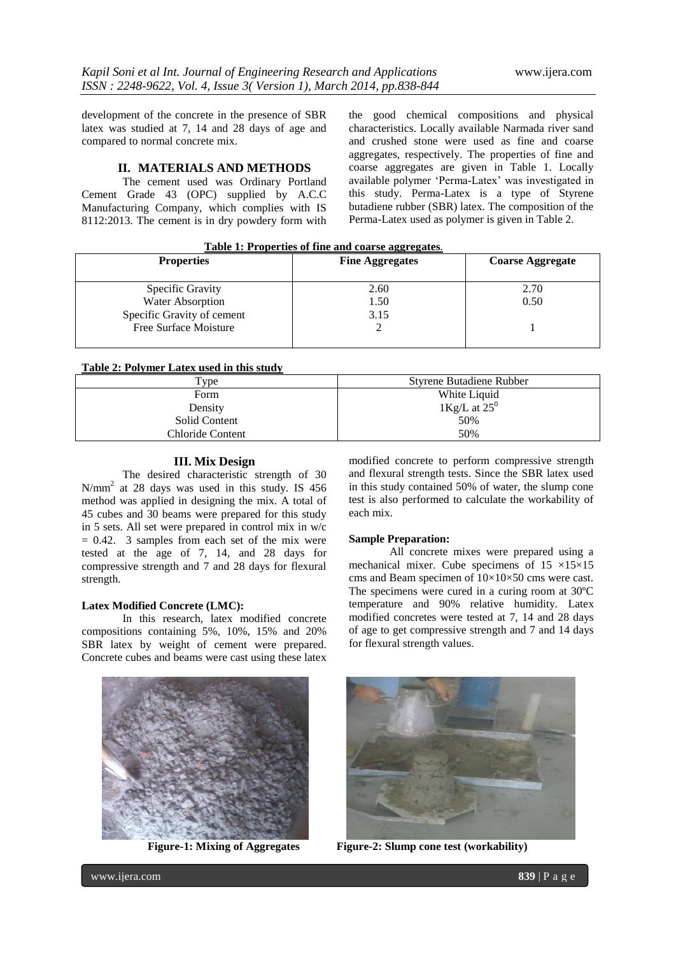development of the concrete in the presence of SBR latex was studied at 7, 14 and 28 days of age and compared to normal concrete mix.

#### **II. MATERIALS AND METHODS**

The cement used was Ordinary Portland Cement Grade 43 (OPC) supplied by A.C.C Manufacturing Company, which complies with IS 8112:2013. The cement is in dry powdery form with the good chemical compositions and physical characteristics. Locally available Narmada river sand and crushed stone were used as fine and coarse aggregates, respectively. The properties of fine and coarse aggregates are given in Table 1. Locally available polymer 'Perma-Latex' was investigated in this study. Perma-Latex is a type of Styrene butadiene rubber (SBR) latex. The composition of the Perma-Latex used as polymer is given in Table 2.

| Table 1: Properties of fine and coarse aggregates. |  |  |  |  |  |  |  |  |
|----------------------------------------------------|--|--|--|--|--|--|--|--|
|----------------------------------------------------|--|--|--|--|--|--|--|--|

| <b>Properties</b>          | <b>Fine Aggregates</b> | <b>Coarse Aggregate</b> |
|----------------------------|------------------------|-------------------------|
| Specific Gravity           | 2.60                   | 2.70                    |
| Water Absorption           | 1.50                   | 0.50                    |
| Specific Gravity of cement | 3.15                   |                         |
| Free Surface Moisture      |                        |                         |

# **Table 2: Polymer Latex used in this study**

| Tvpe             | <b>Styrene Butadiene Rubber</b> |  |  |
|------------------|---------------------------------|--|--|
| Form             | White Liquid                    |  |  |
| Density          | $1 \text{Kg/L}$ at $25^0$       |  |  |
| Solid Content    | 50%                             |  |  |
| Chloride Content | 50%                             |  |  |

#### **III. Mix Design**

The desired characteristic strength of 30 N/mm<sup>2</sup> at 28 days was used in this study. IS 456 method was applied in designing the mix. A total of 45 cubes and 30 beams were prepared for this study in 5 sets. All set were prepared in control mix in w/c  $= 0.42$ . 3 samples from each set of the mix were tested at the age of 7, 14, and 28 days for compressive strength and 7 and 28 days for flexural strength.

#### **Latex Modified Concrete (LMC):**

In this research, latex modified concrete compositions containing 5%, 10%, 15% and 20% SBR latex by weight of cement were prepared. Concrete cubes and beams were cast using these latex

modified concrete to perform compressive strength and flexural strength tests. Since the SBR latex used in this study contained 50% of water, the slump cone test is also performed to calculate the workability of each mix.

#### **Sample Preparation:**

All concrete mixes were prepared using a mechanical mixer. Cube specimens of  $15 \times 15 \times 15$ cms and Beam specimen of 10×10×50 cms were cast. The specimens were cured in a curing room at 30ºC temperature and 90% relative humidity. Latex modified concretes were tested at 7, 14 and 28 days of age to get compressive strength and 7 and 14 days for flexural strength values.





**Figure-1: Mixing of Aggregates Figure-2: Slump cone test (workability)**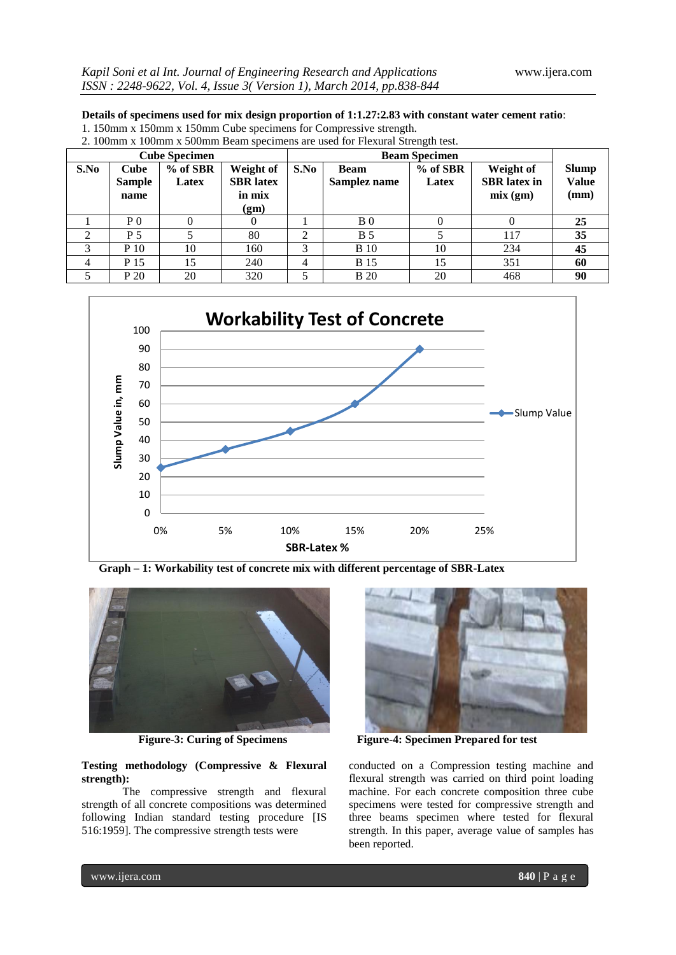## **Details of specimens used for mix design proportion of 1:1.27:2.83 with constant water cement ratio**:

1. 150mm x 150mm x 150mm Cube specimens for Compressive strength.

| <b>Cube Specimen</b> |                                      |                     |                                                 |      | <b>Beam Specimen</b>        |                     |                                             |                                      |  |
|----------------------|--------------------------------------|---------------------|-------------------------------------------------|------|-----------------------------|---------------------|---------------------------------------------|--------------------------------------|--|
| S.No                 | <b>Cube</b><br><b>Sample</b><br>name | $%$ of SBR<br>Latex | Weight of<br><b>SBR</b> latex<br>in mix<br>(gm) | S.No | <b>Beam</b><br>Samplez name | $%$ of SBR<br>Latex | Weight of<br><b>SBR</b> latex in<br>mix(gm) | <b>Slump</b><br><b>Value</b><br>(mm) |  |
|                      | P <sub>0</sub>                       |                     |                                                 |      | B <sub>0</sub>              |                     |                                             | 25                                   |  |
| 2                    | P 5                                  |                     | 80                                              |      | <b>B</b> 5                  |                     | 117                                         | 35                                   |  |
| 3                    | $P_1$                                | 10                  | 160                                             | 3    | <b>B</b> 10                 | 10                  | 234                                         | 45                                   |  |
| 4                    | P 15                                 | 15                  | 240                                             | 4    | <b>B</b> 15                 | 15                  | 351                                         | 60                                   |  |
|                      | P 20                                 | 20                  | 320                                             |      | <b>B</b> 20                 | 20                  | 468                                         | 90                                   |  |





 **Graph – 1: Workability test of concrete mix with different percentage of SBR-Latex** 



#### **Testing methodology (Compressive & Flexural strength):**

The compressive strength and flexural strength of all concrete compositions was determined following Indian standard testing procedure [IS 516:1959]. The compressive strength tests were



**Figure-3: Curing of Specimens Figure-4: Specimen Prepared for test**

conducted on a Compression testing machine and flexural strength was carried on third point loading machine. For each concrete composition three cube specimens were tested for compressive strength and three beams specimen where tested for flexural strength. In this paper, average value of samples has been reported.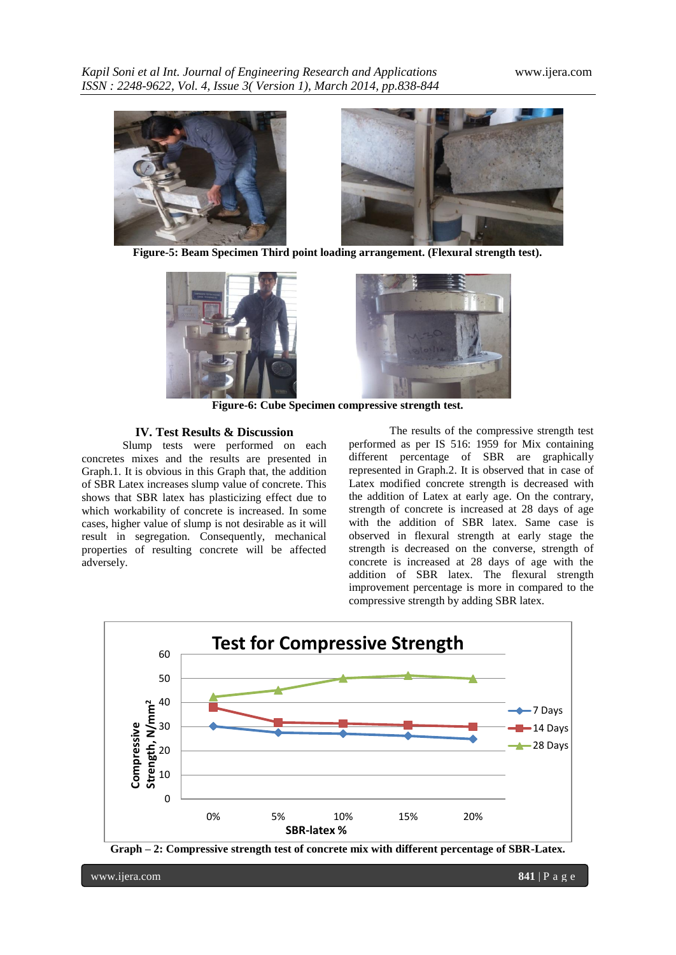*Kapil Soni et al Int. Journal of Engineering Research and Applications* www.ijera.com *ISSN : 2248-9622, Vol. 4, Issue 3( Version 1), March 2014, pp.838-844*



**Figure-5: Beam Specimen Third point loading arrangement. (Flexural strength test).**





**Figure-6: Cube Specimen compressive strength test.**

# **IV. Test Results & Discussion**

Slump tests were performed on each concretes mixes and the results are presented in Graph.1. It is obvious in this Graph that, the addition of SBR Latex increases slump value of concrete. This shows that SBR latex has plasticizing effect due to which workability of concrete is increased. In some cases, higher value of slump is not desirable as it will result in segregation. Consequently, mechanical properties of resulting concrete will be affected adversely.

The results of the compressive strength test performed as per IS 516: 1959 for Mix containing different percentage of SBR are graphically represented in Graph.2. It is observed that in case of Latex modified concrete strength is decreased with the addition of Latex at early age. On the contrary, strength of concrete is increased at 28 days of age with the addition of SBR latex. Same case is observed in flexural strength at early stage the strength is decreased on the converse, strength of concrete is increased at 28 days of age with the addition of SBR latex. The flexural strength improvement percentage is more in compared to the compressive strength by adding SBR latex.



**Graph – 2: Compressive strength test of concrete mix with different percentage of SBR-Latex.**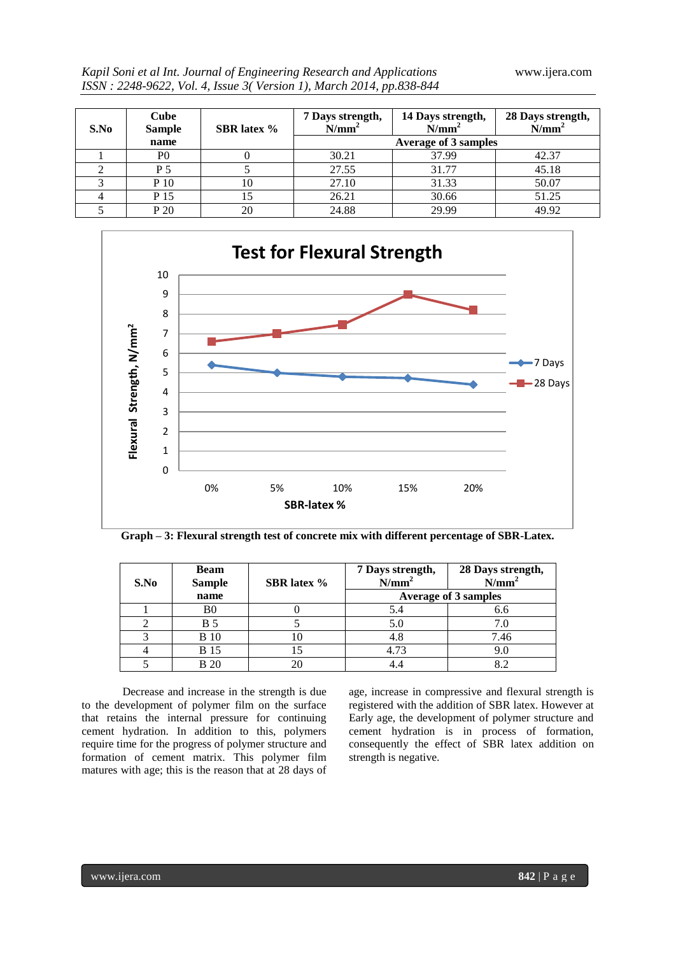| Kapil Soni et al Int. Journal of Engineering Research and Applications |  |  |
|------------------------------------------------------------------------|--|--|
| ISSN : 2248-9622, Vol. 4, Issue 3(Version 1), March 2014, pp.838-844   |  |  |

| S.No | Cube<br><b>Sample</b> | <b>SBR</b> latex % | 7 Days strength,<br>N/mm <sup>2</sup> | 14 Days strength,<br>N/mm <sup>2</sup> | 28 Days strength,<br>$N/mm^2$ |
|------|-----------------------|--------------------|---------------------------------------|----------------------------------------|-------------------------------|
|      | name                  |                    |                                       | <b>Average of 3 samples</b>            |                               |
|      | P <sub>0</sub>        |                    | 30.21                                 | 37.99                                  | 42.37                         |
|      | P 5                   |                    | 27.55                                 | 31.77                                  | 45.18                         |
|      | P 10                  | 10                 | 27.10                                 | 31.33                                  | 50.07                         |
|      | P 15                  |                    | 26.21                                 | 30.66                                  | 51.25                         |
|      | P 20                  | 20                 | 24.88                                 | 29.99                                  | 49.92                         |



|  |  |  |  | Graph - 3: Flexural strength test of concrete mix with different percentage of SBR-Latex. |
|--|--|--|--|-------------------------------------------------------------------------------------------|
|  |  |  |  |                                                                                           |

| S.No | <b>Beam</b><br><b>Sample</b> | <b>SBR</b> latex % | 7 Days strength,<br>$N/mm^2$ | 28 Days strength,<br>N/mm <sup>2</sup> |  |  |
|------|------------------------------|--------------------|------------------------------|----------------------------------------|--|--|
|      | name                         |                    |                              | Average of 3 samples                   |  |  |
|      | B0                           |                    | 5.4                          | 6.6                                    |  |  |
|      | <b>B</b> 5                   |                    | 5.0                          |                                        |  |  |
|      | <b>B</b> 10                  | 10                 | 4.8                          | 7.46                                   |  |  |
|      | <b>B</b> 15                  | 15                 | 4.73                         | 9.0                                    |  |  |
|      | <b>B</b> 20                  | 20                 |                              | 82                                     |  |  |

Decrease and increase in the strength is due to the development of polymer film on the surface that retains the internal pressure for continuing cement hydration. In addition to this, polymers require time for the progress of polymer structure and formation of cement matrix. This polymer film matures with age; this is the reason that at 28 days of age, increase in compressive and flexural strength is registered with the addition of SBR latex. However at Early age, the development of polymer structure and cement hydration is in process of formation, consequently the effect of SBR latex addition on strength is negative.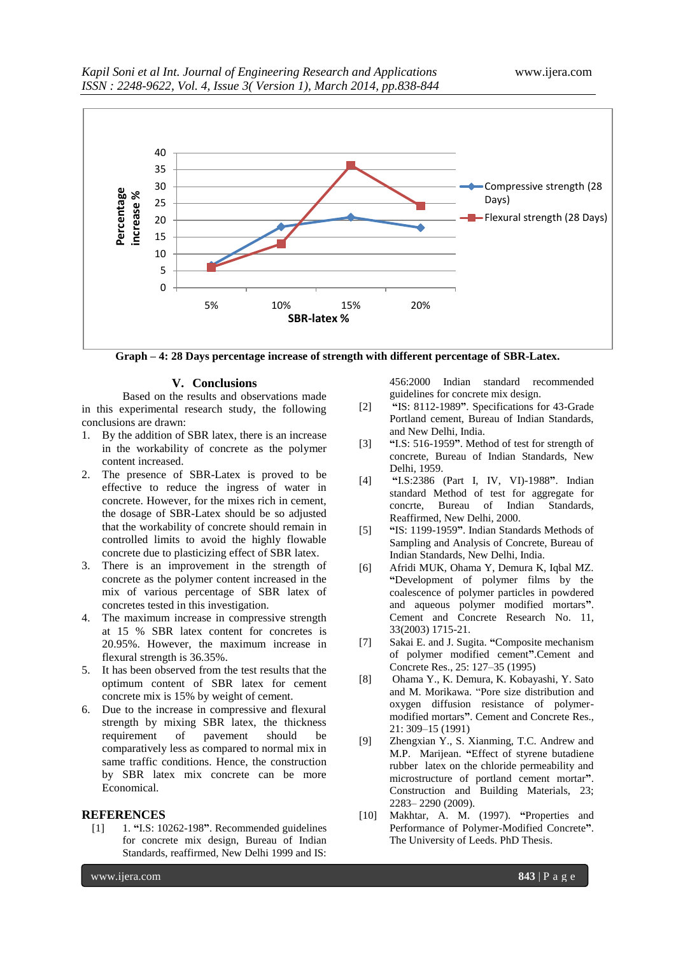

**Graph – 4: 28 Days percentage increase of strength with different percentage of SBR-Latex.**

#### **V. Conclusions**

Based on the results and observations made in this experimental research study, the following conclusions are drawn:

- 1. By the addition of SBR latex, there is an increase in the workability of concrete as the polymer content increased.
- 2. The presence of SBR-Latex is proved to be effective to reduce the ingress of water in concrete. However, for the mixes rich in cement, the dosage of SBR-Latex should be so adjusted that the workability of concrete should remain in controlled limits to avoid the highly flowable concrete due to plasticizing effect of SBR latex.
- 3. There is an improvement in the strength of concrete as the polymer content increased in the mix of various percentage of SBR latex of concretes tested in this investigation.
- 4. The maximum increase in compressive strength at 15 % SBR latex content for concretes is 20.95%. However, the maximum increase in flexural strength is 36.35%.
- 5. It has been observed from the test results that the optimum content of SBR latex for cement concrete mix is 15% by weight of cement.
- 6. Due to the increase in compressive and flexural strength by mixing SBR latex, the thickness requirement of pavement should be comparatively less as compared to normal mix in same traffic conditions. Hence, the construction by SBR latex mix concrete can be more Economical.

# **REFERENCES**<br>[1] 1. "I.S: 10

[1] 1. **"**I.S: 10262-198**"**. Recommended guidelines for concrete mix design, Bureau of Indian Standards, reaffirmed, New Delhi 1999 and IS:

456:2000 Indian standard recommended guidelines for concrete mix design.

- [2] **"**IS: 8112-1989**"**. Specifications for 43-Grade Portland cement, Bureau of Indian Standards, and New Delhi, India.
- [3] **"**I.S: 516-1959**"**. Method of test for strength of concrete, Bureau of Indian Standards, New Delhi, 1959.
- [4] **"**I.S:2386 (Part I, IV, VI)-1988**"**. Indian standard Method of test for aggregate for concrte, Bureau of Indian Standards, Reaffirmed, New Delhi, 2000.
- [5] **"**IS: 1199-1959**"**. Indian Standards Methods of Sampling and Analysis of Concrete, Bureau of Indian Standards, New Delhi, India.
- [6] Afridi MUK, Ohama Y, Demura K, Iqbal MZ. **"**Development of polymer films by the coalescence of polymer particles in powdered and aqueous polymer modified mortars**"**. Cement and Concrete Research No. 11, 33(2003) 1715-21.
- [7] Sakai E. and J. Sugita. **"**Composite mechanism of polymer modified cement**"**.Cement and Concrete Res., 25: 127–35 (1995)
- [8] Ohama Y., K. Demura, K. Kobayashi, Y. Sato and M. Morikawa. "Pore size distribution and oxygen diffusion resistance of polymermodified mortars**"**. Cement and Concrete Res., 21: 309–15 (1991)
- [9] Zhengxian Y., S. Xianming, T.C. Andrew and M.P. Marijean. **"**Effect of styrene butadiene rubber latex on the chloride permeability and microstructure of portland cement mortar**"**. Construction and Building Materials, 23; 2283– 2290 (2009).
- [10] Makhtar, A. M. (1997). **"**Properties and Performance of Polymer-Modified Concrete**"**. The University of Leeds. PhD Thesis.